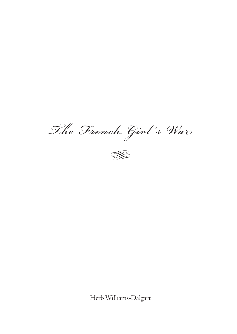The French Girl's War



Herb Williams-Dalgart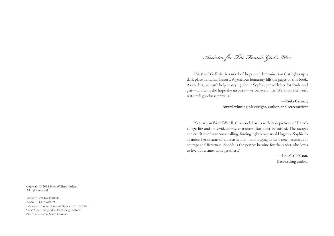Acclaim for The French Girl 's War

*"The French Girl's War* is a novel of hope and determination that lights up a dark place in human history. A generous humanity fills the pages of this book. As readers, we can't help worrying about Sophie, yet with her fortitude and grit—and with the hope she inspires—we believe in her. We know she won't rest until goodness prevails."

> —**Paula Cizmar,Award-winning playwright, author, and screenwriter**

"Set early in World War II, this novel charms with its depictions of French village life and its vivid, quirky characters. But don't be misled. The ravages and cruelties of war come calling, forcing eighteen-year-old ingenue Sophie to abandon her dreams of an artistic life—and forging in her a new necessity for courage and fierceness. Sophie is the perfect heroine for the reader who loves to live, for a time, with greatness."

> —**Louella Nelson,Best-selling author**

Copyright © 2014 Herb Williams-DalgartAll rights reserved.

ISBN-13: 9781493570881ISBN-10: 1493570889 Library of Congress Control Number: 2013920027CreateSpace Independent Publishing PlatformNorth Charleston, South Carolina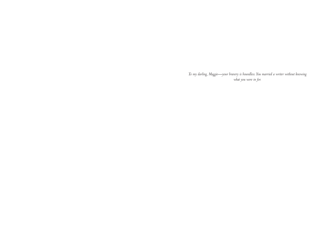*To my darling, Maggie—your bravery is boundless. You married a writer without knowing what you were in for.*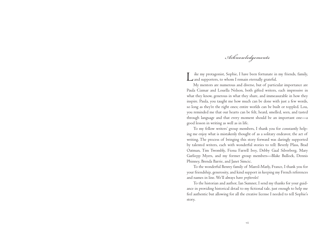Acknowledgements

Like my protagonist, Sophie, I have been fortunate in my friends, family, and supporters, to whom I remain eternally grateful.

My mentors are numerous and diverse, but of particular importance are Paula Cizmar and Louella Nelson, both gifted writers, each impressive in what they know, generous in what they share, and immeasurable in how they inspire. Paula, you taught me how much can be done with just a few words, so long as they're the right ones; entire worlds can be built or toppled. Lou, you reminded me that our hearts can be felt, heard, smelled, seen, and tasted through language and that every moment should be an important one—a good lesson in writing as well as in life.

To my fellow writers' group members, I thank you for constantly helping me enjoy what is mistakenly thought of as a solitary endeavor, the act of writing. The process of bringing this story forward was daringly supported by talented writers, each with wonderful stories to tell: Beverly Plass, Brad Oatman, Tim Twombly, Fiona Farrell Ivey, Debby Gaal Silverberg, Mary Garliepp Myers, and my former group members—Blake Bullock, Dennis Phinney, Brenda Barrie, and Janet Simcic.

To the wonderful Benrey family of Mareil-Marly, France, I thank you for your friendship, generosity, and kind support in keeping my French references and names in line. We'll always have *profiteroles*!

To the historian and author, Ian Sumner, I send my thanks for your guidance in providing historical detail to my fictional tale, just enough to help me feel authentic but allowing for all the creative license I needed to tell Sophie's story.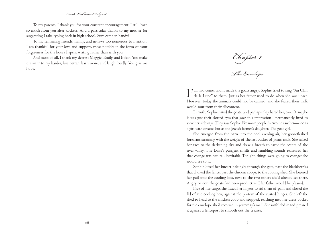## Herb Williams-Dalgart

To my parents, I thank you for your constant encouragement. I still learn so much from you alter kockers. And a particular thanks to my mother for suggesting I take typing back in high school. Sure came in handy!

To my remaining friends, family, and in-laws too numerous to mention, I am thankful for your love and support, most notably in the form of your forgiveness for the hours I spent writing rather than with you.

And most of all, I thank my dearest Maggie, Emily, and Ethan. You make me want to try harder, live better, learn more, and laugh loudly. You give me hope.

Chapter 1

The Envelope

Fall had come, and it made the goats angry. Sophie tried to sing "Au Clair de la Lune" to them, just as her father used to do when she was upset. However, today the animals could not be calmed, and she feared their milk would sour from their discontent.

In truth, Sophie hated the goats, and perhaps they hated her, too. Or maybe it was just their slotted eyes that gave this impression—permanently fixed to view her sideways. They saw Sophie like most people in Avoine saw her—not as a girl with dreams but as the Jewish farmer's daughter. The goat girl.

She emerged from the barn into the cool evening air, her goosefleshed forearms straining with the weight of the last bucket of goats' milk. She raised her face to the darkening sky and drew a breath to savor the scents of the river valley. The Loire's pungent smells and rumbling sounds reassured her that change was natural, inevitable. Tonight, things were going to change; she would see to it.

Sophie lifted her bucket haltingly through the gate, past the blackberries that choked the fence, past the chicken coops, to the cooling shed. She lowered her pail into the cooling box, next to the two others she'd already set there. Angry or not, the goats had been productive. Her father would be pleased.

Free of her cargo, she flexed her fingers to rid them of pain and closed the lid of the cooling box, against the protest of the rusted hinges. She left the shed to head to the chicken coop and stopped, reaching into her dress pocket for the envelope she'd received in yesterday's mail. She unfolded it and pressed it against a fencepost to smooth out the creases.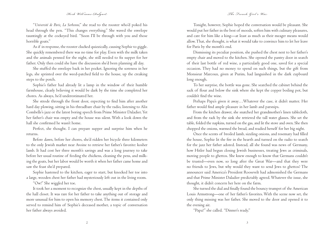## Herb Williams-Dalgart The Green Control of the Green of The Green Girl's War

"*Université de Paris, La Sorbonne*," she read to the rooster who'd poked his head through the pen. "This changes everything." She waved the envelope tauntingly at the cockeyed bird. "Soon I'll be through with you and those horrible goats."

As if in response, the rooster clucked quizzically, causing Sophie to giggle. She quickly remembered there was no time for play. Even with the milk taken and the animals penned for the night, she still needed to fix supper for her father. Only then could she have the discussion she'd been planning all day.

She stuffed the envelope back in her pocket. Ignoring the soreness in her legs, she sprinted over the weed-patched field to the house, up the creaking steps to the porch.

Sophie's father had already lit a lamp in the window of their humble farmhouse, clearly believing it would be dark by the time she completed her chores. As always, he'd underestimated her.

She strode through the front door, expecting to find him after another hard day plowing, sitting in his threadbare chair by the radio, listening to Alix Combelle's jazz or the latest boring speech from Prime Minister Daladier. Yet her father's chair was empty and the house was silent. With a look down the hall she confirmed he wasn't home.

Perfect, she thought. I can prepare supper and surprise him when he returns.

Before dawn, before her chores, she'd ridden her bicycle three kilometers to the only Jewish market near Avoine to retrieve her father's favorite: kosher lamb. It had cost her three month's savings and was a long journey to take before her usual routine of feeding the chickens, cleaning the pens, and milking the goats, but her labor would be worth it when her father came home and saw the feast she'd prepared.

Sophie hastened to the kitchen, eager to start, but knocked her toe intoa large, wooden chest her father had mysteriously left out in the living room.

"Ow!" She wiggled her toe.

It took her a moment to recognize the chest, usually kept in the depths ofthe hall closet. It was rare for her father to take anything out of storage and more unusual for him to open his memory chest. The items it contained only served to remind him of Sophie's deceased mother, a topic of conversation her father always avoided.

Tonight, however, Sophie hoped the conversation would be pleasant. She would put her father in the best of moods, soften him with culinary pleasures, and care for him like a king—at least as much as their meager means would allow. That, she thought, is what it would take to convince him to let her leave for Paris by the month's end.

Dismissing its peculiar position, she pushed the chest next to her father's empty chair and moved to the kitchen. She opened the pantry door in search of their last bottle of red wine, a particularly good one, saved for a special occasion. They had no money to spend on such things, but the gift from Monsieur Marcoux, given at Purim, had languished in the dark cupboard long enough.

To her surprise, the bottle was gone. She searched the cabinet behind the sack of flour and below the sink where she kept the copper boiling pot, but couldn't find the wine.

Perhaps Papa's given it away…Whatever the case, it didn't matter. Her father would find ample pleasure in her lamb and parsnips.

From the kitchen drawer, she snatched her grandmother's linen tablecloth, and from the rack by the sink she retrieved the tall water glasses. She set the table, folded the napkins, turned on the gas, and lit the stove and oven. She then chopped the onions, warmed the bread, and readied herself for her big night.

Once the scents of broiled lamb, sizzling onions, and rosemary had filled the house, Sophie lit the fire in the hearth and turned on the radio to search for the jazz her father adored. Instead, all she found was news of Germany, how Hitler had begun closing Jewish businesses, treating Jews as criminals, moving people to ghettos. She knew enough to know that Germans couldn't be trusted—even now, so long after the Great War—and that they were no friends to Jews, but why would they want to send Jews to ghettos? The announcer said America's President Roosevelt had admonished the Germans and that Prime Minister Daladier predictably agreed. Whatever the issue, she thought, it didn't concern her here on the farm.

She turned the dial and finally found the bouncy trumpet of the American Louis Armstrong—one of her father's favorites. With the scene now set, the only thing missing was her father. She moved to the door and opened it to the evening air.

"Papa?" she called. "Dinner's ready."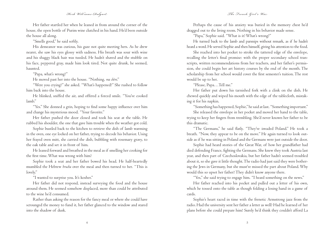# Herb Williams-Dalgart  $\cal$  Warsh and the French Girl's Warsh  $\cal$

Her father startled her when he leaned in from around the corner of thehouse, the open bottle of Purim wine clutched in his hand. He'd been outside the house all along.

"Smells good," he said softly.

His demeanor was curious, his gaze not quite meeting hers. As he drew nearer, she saw his eyes glossy with sadness. His breath was sour with wine and his shaggy black hair was tussled. He hadn't shaved and the stubble on his face, peppered gray, made him look tired. Not quite drunk, he seemed, haunted.

"Papa, what's wrong?"

He moved past her into the house. "Nothing, *ma chère*."

 "Were you crying?" she asked. "What's happened?" She rushed to follow him back into the house.

He blinked, sniffed the air, and offered a forced smile. "You've cooked lamb."

"Yes." She donned a grin, hoping to find some happy influence over him and change his mysterious mood. "Your favorite."

 Her father pushed the door closed and took his seat at the table. He rubbed his shoulder, the one that gave him trouble when the weather got cold.

Sophie bustled back to the kitchen to retrieve the dish of lamb warming in the oven, one eye locked on her father, trying to decode his behavior. Using her frayed oven mitt, she carried the dish, bubbling with rosemary gravy, to the oak table and set it in front of him.

He leaned forward and breathed in the meal as if smelling her cooking for the first time. What was wrong with him?

Sophie took a seat and her father bowed his head. He half-heartedly mumbled the Hebrew *brucha* over the meal and then turned to her. "This is lovely."

"I wanted to surprise you. It's kosher."

 Her father did not respond, instead surveying the food and the house around them. He seemed somehow displaced, more than could be attributed to the wine he'd consumed.

Rather than asking the reason for the fancy meal or where she could have scrounged the money to fund it, her father glanced to the window and stared into the shadow of dusk.

Perhaps the cause of his anxiety was buried in the memory chest he'd dragged out to the living room. Nothing in his behavior made sense.

"Papa," Sophie said. "What is it? What's wrong?"

 He turned back to the lamb and parsnips without remark, as if he hadn't heard a word. He served Sophie and then himself, giving his attention to the food.

She reached into her pocket to stroke the tattered edge of the envelope, recalling the letter's final promise: with the proper secondary school transcripts, written recommendations from her teachers, and her father's permission, she could begin her art history courses by the end of the month. The scholarship from her school would cover the first semester's tuition. The rest would be up to her.

"Please, Papa…Tell me."

Her father put down his tarnished fork with a clink on the dish. He chewed quickly and wiped his mouth with the edge of the tablecloth, mistaking it for his napkin.

"Something has happened, Sophie," he said at last. "Something important."

She released the envelope in her pocket and moved her hand to the table, trying to keep her fingers from trembling. She'd never known her father to be this dramatic.

"The Germans," he said flatly. "They've invaded Poland." He took a breath. "Now, they appear to be on the move." He again turned to look outside as if he was sitting in Poland and the Germans were just outside the door.

Sophie had heard stories of the Great War, of how her grandfather had died defending France, fighting the Germans. She knew they took Austria last year, and then part of Czechoslovakia, but her father hadn't seemed troubled about it, so she gave it little thought. The radio had just said they were bothering the Jews in Germany, but she must've missed the part about Poland. Why would this so upset her father? They didn't know anyone there.

"Yes," she said trying to engage him. "I heard something on the news."

Her father reached into his pocket and pulled out a letter of his own, which he tossed onto the table as though folding a losing hand in a game of cards.

Sophie's heart raced in time with the frenetic Armstrong jazz from the radio. Had the university sent her father a letter as well? Had he learned of her plans before she could prepare him? Surely he'd think they couldn't afford La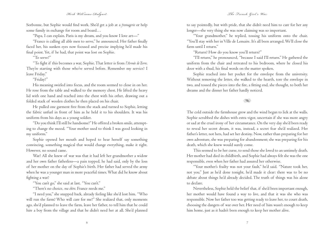## Herb Williams-Dalgart  $\cal$  Warsh was the French Girl's Warsh  $\cal$

Sorbonne, but Sophie would find work. She'd get a job at a *fromagerie* or help some family in exchange for room and board...

"Papa, I can explain. Paris is my dream, and you know I love art—"

"France is calling all able men to serve," he announced. Her father finally faced her, his sunken eyes now focused and precise implying he'd made his final point. Yet, if he had, that point was lost on Sophie.

"To serve?"

"To fight if this becomes a war, Sophie. That letter is from l'Armée de Terre. They're starting with those who've served before. Remember my service? I leave Friday."

### "Friday?"

His meaning swirled into focus, and the room seemed to close in on her. He rose from the table and walked to the memory chest. He lifted the heavy lid with one hand and reached into the chest with his other, drawing out a folded stack of woolen clothes he then placed on his chair.

He pulled one garment free from the stack and turned to Sophie, letting the fabric unfurl in front of him as he held it to his shoulders. It was his uniform from his days as a young soldier.

"Do you think I'll still be handsome?" He offered a broken smile, attempting to change the mood. "Your mother used to think I was good looking in my uniform."

Sophie opened her mouth and hoped to hear herself say something convincing, something magical that would change everything, make it right. However, no sound came.

War? All she knew of war was that it had left her grandmother a widow and her own father fatherless—a pain topped, he had said, only by the loss of her mother on the day of Sophie's birth. Her father had served the army when he was a younger man in more peaceful times. What did he know about fighting a war?

"You can't go," she said at last. "You can't."

"There's no choice, *ma chère*. France needs me."

"I need you," she snapped back, already feeling like she'd lost him. "Who will run the farm? Who will care for me?" She realized that, only moments ago, she'd planned to leave the farm, leave her father, to tell him that he could hire a boy from the village and that he didn't need her at all. She'd planned to say pointedly, but with pride, that she didn't need him to care for her any longer—the very thing she was now claiming was so important.

"Your grandmother," he replied, tossing his uniform onto the chair. "You'll stay with her in Ville de Lemaire. It's all been arranged. We'll close the farm until I return."

"Return? How do you know you'll return?"

"I'll return," he pronounced, "because I said I'll return." He gathered the uniform from the chair and retreated to his bedroom, where he closed his door with a thud, his final words on the matter spoken.

Sophie reached into her pocket for the envelope from the university. Without removing the letter, she walked to the hearth, tore the envelope in two, and tossed the pieces into the fire, a fitting end, she thought, to both her dreams and the dinner her father hardly noticed.

TS.

 The cold outside the farmhouse grew and the wind began to lick at the walls. Sophie scrubbed the dishes with extra vigor, uncertain if she was more angry or sad at the cruel irony of her circumstance. On the very day she'd been ready to reveal her secret dream, it was, instead, a secret fear she'd realized. Her father's letter, not hers, had set her destiny. Now, rather than preparing for her own adventure, she was preparing for abandonment; she was preparing for his death, which she knew would surely come.

This seemed to be her curse, to send those she loved to an untimely death. Her mother had died in childbirth, and Sophie had always felt she was the one responsible, even when her father had assured her otherwise.

"Your mother's frailty was not your fault," he'd said. "Nature took her, not you." Just as he'd done tonight, he'd made it clear: there was to be no debate about things he'd already decided. The truth of things was his alone to declare.

Nevertheless, Sophie held the belief that, if she'd been important enough, her mother would have found a way to live, and that it was she who was responsible. Now her father too was getting ready to leave her, to court death, choosing the dangers of war over her. Her need of him wasn't enough to keep him home, just as it hadn't been enough to keep her mother alive.